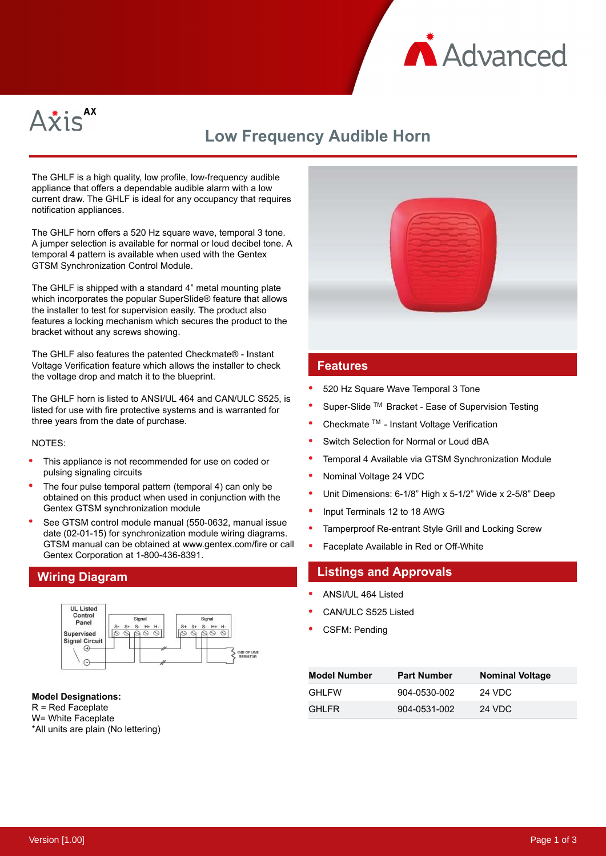



# **Low Frequency Audible Horn**

The GHLF is a high quality, low profile, low-frequency audible appliance that offers a dependable audible alarm with a low current draw. The GHLF is ideal for any occupancy that requires notification appliances.

The GHLF horn offers a 520 Hz square wave, temporal 3 tone. A jumper selection is available for normal or loud decibel tone. A temporal 4 pattern is available when used with the Gentex GTSM Synchronization Control Module.

The GHLF is shipped with a standard 4" metal mounting plate which incorporates the popular SuperSlide® feature that allows the installer to test for supervision easily. The product also features a locking mechanism which secures the product to the bracket without any screws showing.

The GHLF also features the patented Checkmate® - Instant Voltage Verification feature which allows the installer to check the voltage drop and match it to the blueprint.

The GHLF horn is listed to ANSI/UL 464 and CAN/ULC S525, is listed for use with fire protective systems and is warranted for three years from the date of purchase.

## NOTES:

- This appliance is not recommended for use on coded or pulsing signaling circuits
- The four pulse temporal pattern (temporal 4) can only be obtained on this product when used in conjunction with the Gentex GTSM synchronization module
- See GTSM control module manual (550-0632, manual issue date (02-01-15) for synchronization module wiring diagrams. GTSM manual can be obtained at www.gentex.com/fire or call Gentex Corporation at 1-800-436-8391.

# **Wiring Diagram**



### **Model Designations:** R = Red Faceplate

W= White Faceplate \*All units are plain (No lettering)



## **Features**

- 520 Hz Square Wave Temporal 3 Tone
- Super-Slide TM Bracket Ease of Supervision Testing
- Checkmate TM Instant Voltage Verification
- Switch Selection for Normal or Loud dBA
- Temporal 4 Available via GTSM Synchronization Module
- Nominal Voltage 24 VDC
- Unit Dimensions: 6-1/8" High x 5-1/2" Wide x 2-5/8" Deep
- Input Terminals 12 to 18 AWG
- Tamperproof Re-entrant Style Grill and Locking Screw
- Faceplate Available in Red or Off-White

# **Listings and Approvals**

- ANSI/UL 464 Listed
- CAN/ULC S525 Listed
- CSFM: Pending

| <b>Model Number</b> | <b>Part Number</b> | <b>Nominal Voltage</b> |
|---------------------|--------------------|------------------------|
| GHLFW               | 904-0530-002       | 24 VDC                 |
| <b>GHLFR</b>        | 904-0531-002       | 24 VDC                 |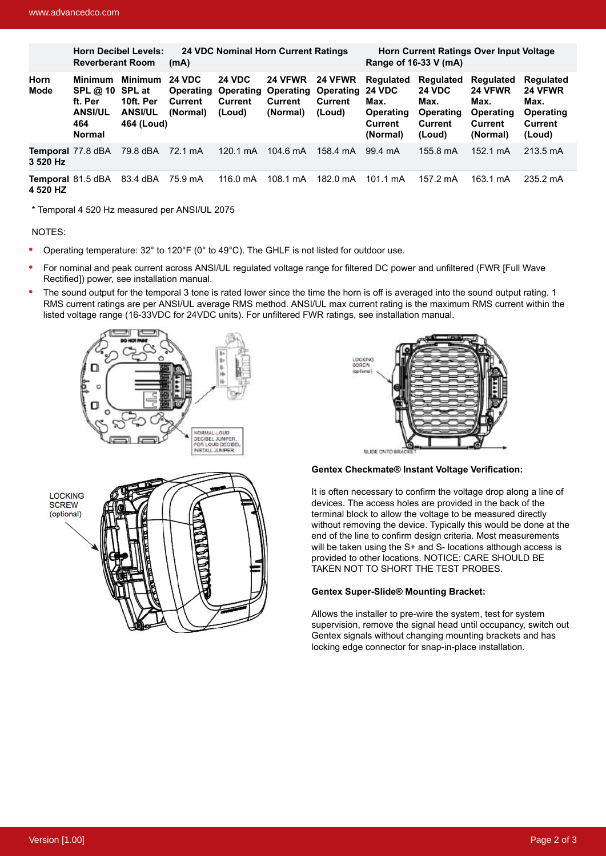|              | <b>Reverberant Room</b>                                                | <b>Horn Decibel Levels:</b>                                           | 24 VDC Nominal Horn Current Ratings<br>(mA) |                                                                                      |                                | Horn Current Ratings Over Input Voltage<br>Range of 16-33 V (mA) |                                                                               |                                                                                    |                                                                                |                                                                                            |
|--------------|------------------------------------------------------------------------|-----------------------------------------------------------------------|---------------------------------------------|--------------------------------------------------------------------------------------|--------------------------------|------------------------------------------------------------------|-------------------------------------------------------------------------------|------------------------------------------------------------------------------------|--------------------------------------------------------------------------------|--------------------------------------------------------------------------------------------|
| Horn<br>Mode | Minimum<br>SPL@10<br>ft. Per<br><b>ANSI/UL</b><br>464<br><b>Normal</b> | Minimum<br><b>SPL</b> at<br>10ft. Per<br><b>ANSI/UL</b><br>464 (Loud) | <b>24 VDC</b><br>Current<br>(Normal)        | <b>24 VDC</b><br><b>Operating Operating Operating Operating</b><br>Current<br>(Loud) | 24 VFWR<br>Current<br>(Normal) | <b>24 VFWR</b><br><b>Current</b><br>(Loud)                       | <b>Regulated</b><br><b>24 VDC</b><br>Max.<br>Operating<br>Current<br>(Normal) | <b>Regulated</b><br><b>24 VDC</b><br>Max.<br>Operating<br><b>Current</b><br>(Loud) | <b>Regulated</b><br>24 VFWR<br>Max.<br>Operating<br><b>Current</b><br>(Normal) | <b>Regulated</b><br><b>24 VFWR</b><br>Max.<br><b>Operating</b><br><b>Current</b><br>(Loud) |
| 3 520 Hz     | <b>Temporal 77.8 dBA</b>                                               | 79.8 dBA                                                              | 72.1 mA                                     | 120.1 mA                                                                             | 104.6 mA                       | 158.4 mA                                                         | 99.4 mA                                                                       | 155.8 mA                                                                           | 152.1 mA                                                                       | 213.5 mA                                                                                   |
| 4 520 HZ     | <b>Temporal 81.5 dBA</b>                                               | 83.4 dBA                                                              | 75.9 mA                                     | 116.0 mA                                                                             | 108.1 mA                       | 182.0 mA                                                         | $101.1 \text{ mA}$                                                            | 157.2 mA                                                                           | 163.1 mA                                                                       | 235.2 mA                                                                                   |

\* Temporal 4 520 Hz measured per ANSI/UL 2075

NOTES:

- Operating temperature: 32° to 120°F (0° to 49°C). The GHLF is not listed for outdoor use.
- For nominal and peak current across ANSI/UL regulated voltage range for filtered DC power and unfiltered (FWR [Full Wave  $\bullet$ Rectified]) power, see installation manual.
- $\bullet$ The sound output for the temporal 3 tone is rated lower since the time the horn is off is averaged into the sound output rating. 1 RMS current ratings are per ANSI/UL average RMS method. ANSI/UL max current rating is the maximum RMS current within the listed voltage range (16-33VDC for 24VDC units). For unfiltered FWR ratings, see installation manual.







It is often necessary to confirm the voltage drop along a line of devices. The access holes are provided in the back of the terminal block to allow the voltage to be measured directly without removing the device. Typically this would be done at the end of the line to confirm design criteria. Most measurements will be taken using the S+ and S- locations although access is provided to other locations. NOTICE: CARE SHOULD BE TAKEN NOT TO SHORT THE TEST PROBES.

#### **Gentex Super-Slide® Mounting Bracket:**

Allows the installer to pre-wire the system, test for system supervision, remove the signal head until occupancy, switch out Gentex signals without changing mounting brackets and has locking edge connector for snap-in-place installation.